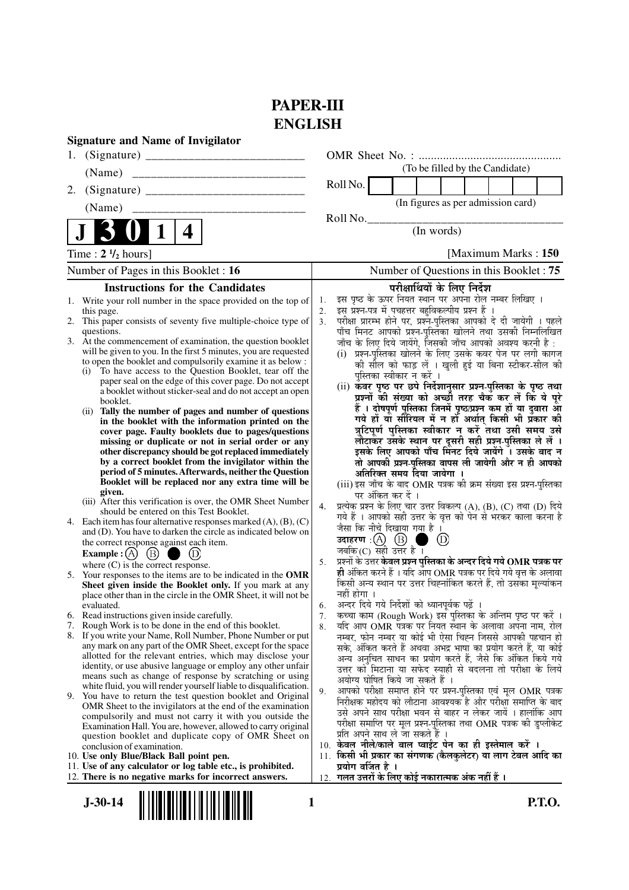# **PAPER-III ENGLISH**

| <b>Signature and Name of Invigilator</b>                                                                                                                                                                                                                                                                                                                                                                                                                                                                                            |                                                                                                                                                                                                                                                                                                                                                                                                                                                                                                                                                                                       |
|-------------------------------------------------------------------------------------------------------------------------------------------------------------------------------------------------------------------------------------------------------------------------------------------------------------------------------------------------------------------------------------------------------------------------------------------------------------------------------------------------------------------------------------|---------------------------------------------------------------------------------------------------------------------------------------------------------------------------------------------------------------------------------------------------------------------------------------------------------------------------------------------------------------------------------------------------------------------------------------------------------------------------------------------------------------------------------------------------------------------------------------|
|                                                                                                                                                                                                                                                                                                                                                                                                                                                                                                                                     |                                                                                                                                                                                                                                                                                                                                                                                                                                                                                                                                                                                       |
| (Name)                                                                                                                                                                                                                                                                                                                                                                                                                                                                                                                              | (To be filled by the Candidate)                                                                                                                                                                                                                                                                                                                                                                                                                                                                                                                                                       |
| 2.                                                                                                                                                                                                                                                                                                                                                                                                                                                                                                                                  | Roll No.                                                                                                                                                                                                                                                                                                                                                                                                                                                                                                                                                                              |
| (Name)                                                                                                                                                                                                                                                                                                                                                                                                                                                                                                                              | (In figures as per admission card)                                                                                                                                                                                                                                                                                                                                                                                                                                                                                                                                                    |
| 4                                                                                                                                                                                                                                                                                                                                                                                                                                                                                                                                   | Roll No.<br>(In words)                                                                                                                                                                                                                                                                                                                                                                                                                                                                                                                                                                |
| Time : $2 \frac{1}{2}$ hours]                                                                                                                                                                                                                                                                                                                                                                                                                                                                                                       | [Maximum Marks: 150]                                                                                                                                                                                                                                                                                                                                                                                                                                                                                                                                                                  |
| Number of Pages in this Booklet : 16                                                                                                                                                                                                                                                                                                                                                                                                                                                                                                | Number of Questions in this Booklet: 75                                                                                                                                                                                                                                                                                                                                                                                                                                                                                                                                               |
| <b>Instructions for the Candidates</b>                                                                                                                                                                                                                                                                                                                                                                                                                                                                                              | परीक्षार्थियों के लिए निर्देश                                                                                                                                                                                                                                                                                                                                                                                                                                                                                                                                                         |
| 1. Write your roll number in the space provided on the top of<br>this page.<br>2. This paper consists of seventy five multiple-choice type of<br>questions.<br>3. At the commencement of examination, the question booklet<br>will be given to you. In the first 5 minutes, you are requested<br>to open the booklet and compulsorily examine it as below :<br>(i) To have access to the Question Booklet, tear off the<br>paper seal on the edge of this cover page. Do not accept                                                 | इस पृष्ठ के ऊपर नियत स्थान पर अपना रोल नम्बर लिखिए ।<br>1.<br>इस प्रश्न-पत्र में पचहत्तर बहुविकल्पीय प्रश्न हैं ।<br>2.<br>परीक्षा प्रारम्भ होने पर, प्रश्न-पुस्तिका आपको दे दी जायेगी । पहले<br>3.<br>पाँच मिनट आपको प्रश्न-पुस्तिका खोलने तथा उसकी निम्नलिखित<br>जाँच के लिए दिये जायेंगे, जिसकी जाँच आपको अवश्य करनी है :<br>(i) प्रश्न-पुस्तिका खोलने के लिए उसके कवर पेज पर लगी कागज<br>की सील को फाड़ लें । खुली हुई या बिना स्टीकर-सील की<br>पुस्तिका स्वीकार न करें ।                                                                                                         |
| a booklet without sticker-seal and do not accept an open<br>booklet.<br>Tally the number of pages and number of questions<br>(ii)<br>in the booklet with the information printed on the<br>cover page. Faulty booklets due to pages/questions<br>missing or duplicate or not in serial order or any<br>other discrepancy should be got replaced immediately<br>by a correct booklet from the invigilator within the<br>period of 5 minutes. Afterwards, neither the Question<br>Booklet will be replaced nor any extra time will be | (ii) कँवर पृष्ठ पर छपे निर्देशानुसार प्रश्न-पुस्तिका के पृष्ठ तथा<br>प्रश्नों की संख्या को अच्छी तरह चैक कर लें कि ये पूरे<br>हैं । दोषपूर्ण पुस्तिका जिनमें पृष्ठ/प्रश्न कम हों या दुबारा आ<br>गये हों या सौरियल में न हों अर्थात् किसी भी प्रकार की<br>त्रुटिपूर्ण पुस्तिका स्वीकार न करें तथा उसी समय उसे<br>लौटाकर उसके स्थान पर दूसरी सही प्रश्न-पुस्तिका ले लें ।<br>इसके लिए आपको पाँच मिनट दिये जायेंगे । उसके बाद न<br>तो आपकी प्रश्न-पुस्तिका वापस ली जायेगी और न ही आपको<br>अतिरिक्त समय दिया जायेगा ।<br>(iii) इस जाँच के बाद OMR पत्रक की क्रम संख्या इस प्रश्न-पुस्तिका |
| given.<br>(iii) After this verification is over, the OMR Sheet Number<br>should be entered on this Test Booklet.<br>Each item has four alternative responses marked $(A)$ , $(B)$ , $(C)$<br>4.<br>and (D). You have to darken the circle as indicated below on<br>the correct response against each item.                                                                                                                                                                                                                          | पर अंकित कर दें ।<br>प्रत्येक प्रश्न के लिए चार उत्तर विकल्प (A), (B), (C) तथा (D) दिये<br>4.<br>गये हैं । आपको सही उत्तर के वृत्त को पेन से भरकर काला करना है<br>जैसा कि नीचे दिखाया गया है ।<br>(D)                                                                                                                                                                                                                                                                                                                                                                                 |
| $\left(\mathbf{B}\right)$<br><b>Example</b> : $(A)$<br>where (C) is the correct response.<br>5. Your responses to the items are to be indicated in the OMR<br>Sheet given inside the Booklet only. If you mark at any<br>place other than in the circle in the OMR Sheet, it will not be<br>evaluated.                                                                                                                                                                                                                              | जबकि $(C)$ सही उत्तर है ।<br>प्रश्नों के उत्तर <b>केवल प्रश्न पुस्तिका के अन्दर दिये गये OMR पत्रक पर</b><br>5.<br>ही अंकित करने हैं । यदि आप OMR पत्रक पर दिये गये वृत्त के अलावा<br>किसी अन्य स्थान पर उत्तर चिह्नांकित करते हैं, तो उसका मूल्यांकन<br>नहीं होगा ।<br>अन्दर दिये गये निर्देशों को ध्यानपूर्वक पढ़ें ।<br>6.                                                                                                                                                                                                                                                         |
| Read instructions given inside carefully.<br>6.<br>7. Rough Work is to be done in the end of this booklet.<br>8. If you write your Name, Roll Number, Phone Number or put<br>any mark on any part of the OMR Sheet, except for the space<br>allotted for the relevant entries, which may disclose your<br>identity, or use abusive language or employ any other unfair<br>means such as change of response by scratching or using                                                                                                   | कच्चा काम (Rough Work) इस पुस्तिका के अन्तिम पृष्ठ पर करें ।<br>7.<br>यदि आप OMR पत्रक पर नियत स्थान के अलावा अपना नाम, रोल<br>8.<br>नम्बर, फोन नम्बर या कोई भी ऐसा चिह्न जिससे आपकी पहचान हो<br>सके, अंकित करते हैं अथवा अभद्र भाषा का प्रयोग करते हैं, या कोई<br>अन्य अनुचित साधन का प्रयोग करते हैं, जैसे कि अंकित किये गये<br>उत्तर को मिटाना या सफेद स्याही से बदलना तो परीक्षा के लिये                                                                                                                                                                                          |
| white fluid, you will render yourself liable to disqualification.<br>9. You have to return the test question booklet and Original<br>OMR Sheet to the invigilators at the end of the examination<br>compulsorily and must not carry it with you outside the<br>Examination Hall. You are, however, allowed to carry original<br>question booklet and duplicate copy of OMR Sheet on                                                                                                                                                 | अयोग्य घोषित किये जा सकते हैं ।<br>आपको परीक्षा समाप्त होने पर प्रश्न-पुस्तिका एवं मूल OMR पत्रक<br>9.<br>निरीक्षक महोदय को लौटाना आवश्यक है और परीक्षा समाप्ति के बाद<br>उसे अपने साथ परीक्षा भवन से बाहर न लेकर जायें । हालांकि आप<br>परीक्षा समाप्ति पर मूल प्रश्न-पुस्तिका तथा OMR पत्रक की डुप्लीकेट<br>प्रति अपने साथ ले जा सकते हैं ।<br>10. केवल नीले/काले बाल प्वाईंट पेन का ही इस्तेमाल करें ।                                                                                                                                                                              |
| conclusion of examination.<br>10. Use only Blue/Black Ball point pen.                                                                                                                                                                                                                                                                                                                                                                                                                                                               | किसी भी प्रकार का संगणक (कैलकुलेटर) या लाग टेबल आदि का<br>11.                                                                                                                                                                                                                                                                                                                                                                                                                                                                                                                         |
| 11. Use of any calculator or log table etc., is prohibited.<br>12. There is no negative marks for incorrect answers.                                                                                                                                                                                                                                                                                                                                                                                                                | प्रयोग वर्जित है ।<br>12. गलत उत्तरों के लिए कोई नकारात्मक अंक नहीं हैं ।                                                                                                                                                                                                                                                                                                                                                                                                                                                                                                             |
| $J-30-14$                                                                                                                                                                                                                                                                                                                                                                                                                                                                                                                           | <b>P.T.O.</b><br>1                                                                                                                                                                                                                                                                                                                                                                                                                                                                                                                                                                    |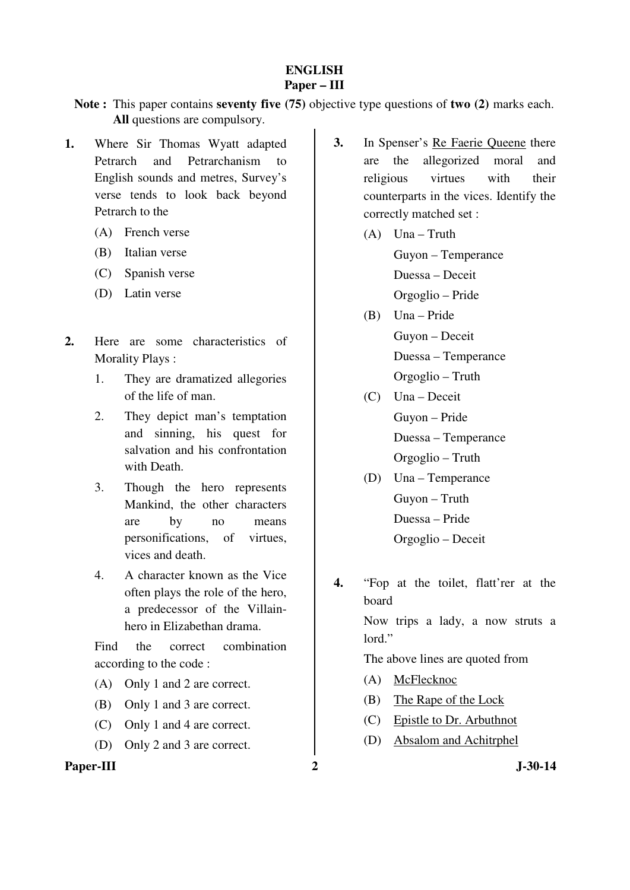### **ENGLISH Paper – III**

**Note :** This paper contains **seventy five (75)** objective type questions of **two (2)** marks each. **All** questions are compulsory.

- **1.** Where Sir Thomas Wyatt adapted Petrarch and Petrarchanism to English sounds and metres, Survey's verse tends to look back beyond Petrarch to the
	- (A) French verse
	- (B) Italian verse
	- (C) Spanish verse
	- (D) Latin verse
- **2.** Here are some characteristics of Morality Plays :
	- 1. They are dramatized allegories of the life of man.
	- 2. They depict man's temptation and sinning, his quest for salvation and his confrontation with Death.
	- 3. Though the hero represents Mankind, the other characters are by no means personifications, of virtues, vices and death.
	- 4. A character known as the Vice often plays the role of the hero, a predecessor of the Villainhero in Elizabethan drama.

 Find the correct combination according to the code :

- (A) Only 1 and 2 are correct.
- (B) Only 1 and 3 are correct.
- (C) Only 1 and 4 are correct.
- (D) Only 2 and 3 are correct.

### Paper-III 2 J-30-14

- **3.** In Spenser's Re Faerie Queene there are the allegorized moral and religious virtues with their counterparts in the vices. Identify the correctly matched set :
	- (A) Una Truth Guyon – Temperance Duessa – Deceit Orgoglio – Pride
	- (B) Una Pride Guyon – Deceit Duessa – Temperance Orgoglio – Truth
	- (C) Una Deceit Guyon – Pride Duessa – Temperance Orgoglio – Truth
	- (D) Una Temperance Guyon – Truth Duessa – Pride Orgoglio – Deceit
- **4.** "Fop at the toilet, flatt'rer at the board

 Now trips a lady, a now struts a lord."

The above lines are quoted from

- (A) McFlecknoc
- (B) The Rape of the Lock
- (C) Epistle to Dr. Arbuthnot
- (D) Absalom and Achitrphel
	-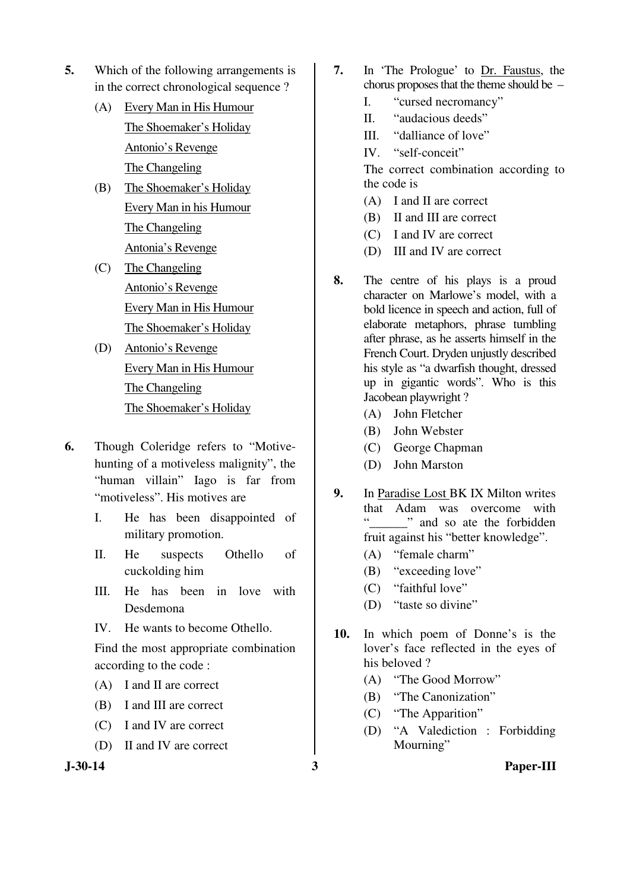- **5.** Which of the following arrangements is in the correct chronological sequence ?
	- (A) Every Man in His Humour The Shoemaker's Holiday Antonio's Revenge The Changeling
	- (B) The Shoemaker's Holiday Every Man in his Humour The Changeling Antonia's Revenge
	- (C) The Changeling Antonio's Revenge Every Man in His Humour The Shoemaker's Holiday
	- (D) Antonio's Revenge Every Man in His Humour The Changeling The Shoemaker's Holiday
- **6.** Though Coleridge refers to "Motivehunting of a motiveless malignity", the "human villain" Iago is far from "motiveless". His motives are
	- I. He has been disappointed of military promotion.
	- II. He suspects Othello of cuckolding him
	- III. He has been in love with Desdemona
	- IV. He wants to become Othello.

 Find the most appropriate combination according to the code :

- (A) I and II are correct
- (B) I and III are correct
- (C) I and IV are correct
- (D) II and IV are correct

- **7.** In 'The Prologue' to Dr. Faustus, the chorus proposes that the theme should be –
	- I. "cursed necromancy"
	- II. "audacious deeds"
	- III. "dalliance of love"
	- IV. "self-conceit"

 The correct combination according to the code is

- (A) I and II are correct
- (B) II and III are correct
- (C) I and IV are correct
- (D) III and IV are correct
- **8.** The centre of his plays is a proud character on Marlowe's model, with a bold licence in speech and action, full of elaborate metaphors, phrase tumbling after phrase, as he asserts himself in the French Court. Dryden unjustly described his style as "a dwarfish thought, dressed up in gigantic words". Who is this Jacobean playwright ?
	- (A) John Fletcher
	- (B) John Webster
	- (C) George Chapman
	- (D) John Marston
- **9.** In Paradise Lost BK IX Milton writes that Adam was overcome with " and so ate the forbidden fruit against his "better knowledge".
	- (A) "female charm"
	- (B) "exceeding love"
	- (C) "faithful love"
	- (D) "taste so divine"
- **10.** In which poem of Donne's is the lover's face reflected in the eyes of his beloved ?
	- (A) "The Good Morrow"
	- (B) "The Canonization"
	- (C) "The Apparition"
	- (D) "A Valediction : Forbidding Mourning"

**J-30-14 3 Paper-III**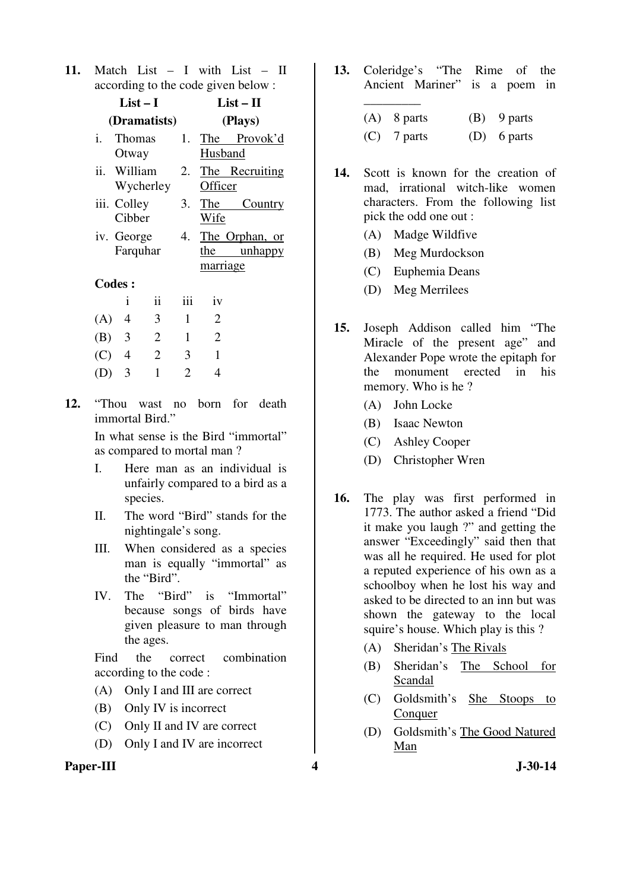**11.** Match List – I with List – II according to the code given below :

|     | $List-I$               |                |     | $List - II$     |                                  |
|-----|------------------------|----------------|-----|-----------------|----------------------------------|
|     |                        | (Dramatists)   |     |                 | (Plays)                          |
| i.  | Thomas<br>Otway        |                | 1.  | The<br>Husband  | Provok'd                         |
|     | ii. William            | Wycherley      | 2.  | Officer         | The Recruiting                   |
|     | iii. Colley<br>Cibber  |                | 3.  | The<br>Wife     | Country                          |
|     | iv. George<br>Farquhar |                | 4.  | the<br>marriage | The Orphan, or<br><u>unhappy</u> |
|     | <b>Codes:</b>          |                |     |                 |                                  |
|     | i                      | $\ddot{i}$     | iii | iv              |                                  |
| (A) | 4                      | 3              | 1   | 2               |                                  |
| (B) | 3                      | $\overline{2}$ | 1   | $\overline{2}$  |                                  |
| (C) | 4                      | 2              | 3   | 1               |                                  |

**12.** "Thou wast no born for death immortal Bird."

(D) 3 1 2 4

 In what sense is the Bird "immortal" as compared to mortal man ?

- I. Here man as an individual is unfairly compared to a bird as a species.
- II. The word "Bird" stands for the nightingale's song.
- III. When considered as a species man is equally "immortal" as the "Bird".
- IV. The "Bird" is "Immortal" because songs of birds have given pleasure to man through the ages.

 Find the correct combination according to the code :

- (A) Only I and III are correct
- (B) Only IV is incorrect
- (C) Only II and IV are correct
- (D) Only I and IV are incorrect
- Paper-III **4** J-30-14

**13.** Coleridge's "The Rime of the Ancient Mariner" is a poem in \_\_\_\_\_\_\_\_\_

| $(A)$ 8 parts | $(B)$ 9 parts |
|---------------|---------------|
| $(C)$ 7 parts | $(D)$ 6 parts |

- **14.** Scott is known for the creation of mad, irrational witch-like women characters. From the following list pick the odd one out :
	- (A) Madge Wildfive
	- (B) Meg Murdockson
	- (C) Euphemia Deans
	- (D) Meg Merrilees
- **15.** Joseph Addison called him "The Miracle of the present age" and Alexander Pope wrote the epitaph for the monument erected in his memory. Who is he ?
	- (A) John Locke
	- (B) Isaac Newton
	- (C) Ashley Cooper
	- (D) Christopher Wren
- **16.** The play was first performed in 1773. The author asked a friend "Did it make you laugh ?" and getting the answer "Exceedingly" said then that was all he required. He used for plot a reputed experience of his own as a schoolboy when he lost his way and asked to be directed to an inn but was shown the gateway to the local squire's house. Which play is this ?
	- (A) Sheridan's The Rivals
	- (B) Sheridan's The School for Scandal
	- (C) Goldsmith's She Stoops to Conquer
	- (D) Goldsmith's The Good Natured Man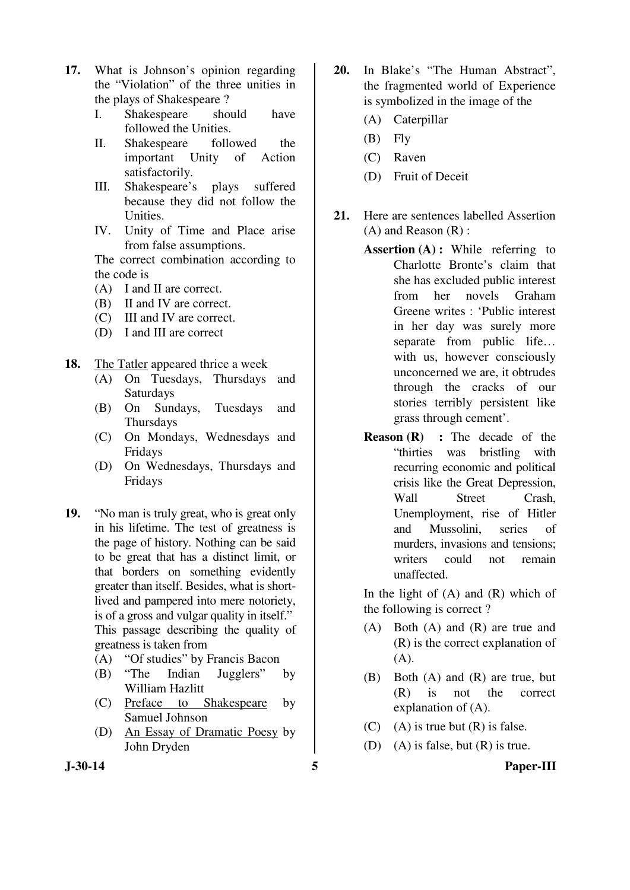- **17.** What is Johnson's opinion regarding the "Violation" of the three unities in the plays of Shakespeare ?
	- I. Shakespeare should have followed the Unities.
	- II. Shakespeare followed the important Unity of Action satisfactorily.
	- III. Shakespeare's plays suffered because they did not follow the Unities.
	- IV. Unity of Time and Place arise from false assumptions.

 The correct combination according to the code is

- (A) I and II are correct.
- (B) II and IV are correct.
- (C) III and IV are correct.
- (D) I and III are correct
- **18.** The Tatler appeared thrice a week
	- (A) On Tuesdays, Thursdays and Saturdays
	- (B) On Sundays, Tuesdays and Thursdays
	- (C) On Mondays, Wednesdays and Fridays
	- (D) On Wednesdays, Thursdays and Fridays
- **19.** "No man is truly great, who is great only in his lifetime. The test of greatness is the page of history. Nothing can be said to be great that has a distinct limit, or that borders on something evidently greater than itself. Besides, what is shortlived and pampered into mere notoriety, is of a gross and vulgar quality in itself." This passage describing the quality of greatness is taken from
	- (A) "Of studies" by Francis Bacon
	- (B) "The Indian Jugglers" by William Hazlitt
	- (C) Preface to Shakespeare by Samuel Johnson
	- (D) An Essay of Dramatic Poesy by John Dryden
- **20.** In Blake's "The Human Abstract", the fragmented world of Experience is symbolized in the image of the
	- (A) Caterpillar
	- (B) Fly
	- (C) Raven
	- (D) Fruit of Deceit
- **21.** Here are sentences labelled Assertion (A) and Reason (R) :
	- **Assertion (A) :** While referring to Charlotte Bronte's claim that she has excluded public interest from her novels Graham Greene writes : 'Public interest in her day was surely more separate from public life… with us, however consciously unconcerned we are, it obtrudes through the cracks of our stories terribly persistent like grass through cement'.
	- **Reason (R) :** The decade of the "thirties was bristling with recurring economic and political crisis like the Great Depression, Wall Street Crash, Unemployment, rise of Hitler and Mussolini, series of murders, invasions and tensions; writers could not remain unaffected.

In the light of  $(A)$  and  $(R)$  which of the following is correct ?

- (A) Both (A) and (R) are true and (R) is the correct explanation of (A).
- (B) Both (A) and (R) are true, but (R) is not the correct explanation of (A).
- (C) (A) is true but  $(R)$  is false.
- (D) (A) is false, but  $(R)$  is true.

#### **J-30-14 5 Paper-III**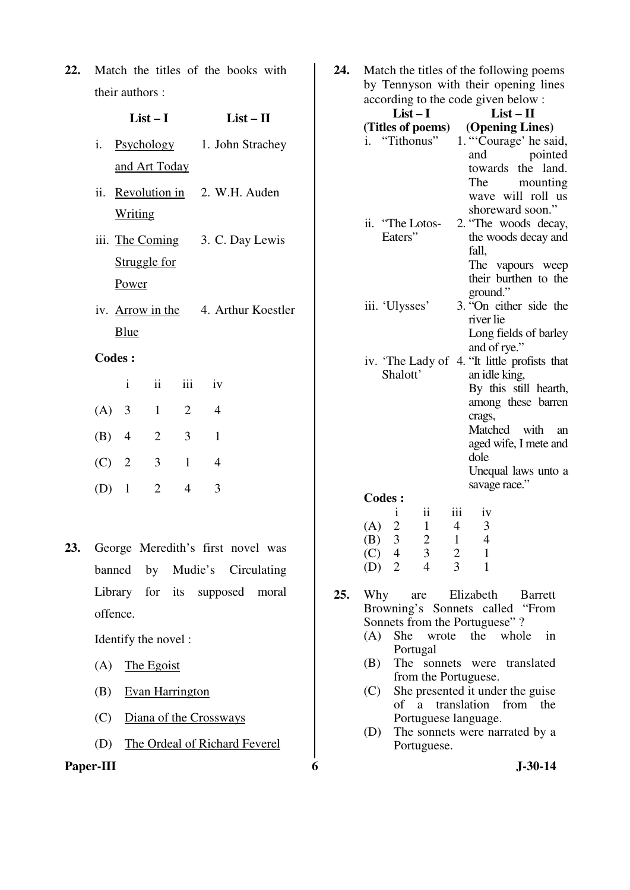**22.** Match the titles of the books with their authors :

| i. Psychology | 1. John Strachey |
|---------------|------------------|
| and Art Today |                  |

 **List – I List – II** 

- ii. Revolution in Writing 2. W.H. Auden
- iii. The Coming Struggle for Power 3. C. Day Lewis
- iv. Arrow in the Blue 4. Arthur Koestler

# **Codes :**

|         | Ť              | $\ddot{\mathbf{i}}$ | iii            | 1V |
|---------|----------------|---------------------|----------------|----|
| $(A)$ 3 |                | $\mathbf{1}$        | $\overline{2}$ |    |
| $(B)$ 4 |                | $\overline{2}$      | 3              |    |
| $(C)$ 2 |                | 3                   | 1              | 4  |
| (D)     | $\overline{1}$ | 2                   |                | 3  |

**23.** George Meredith's first novel was banned by Mudie's Circulating Library for its supposed moral offence.

Identify the novel :

- (A) The Egoist
- (B) Evan Harrington
- (C) Diana of the Crossways
- (D) The Ordeal of Richard Feverel

**Paper-III** 6 J-30-14

**24.** Match the titles of the following poems by Tennyson with their opening lines according to the code given below :

| $List-I$            | $List - II$                                  |
|---------------------|----------------------------------------------|
| (Titles of poems)   | (Opening Lines)                              |
| i. "Tithonus"       | 1. "Courage' he said,                        |
|                     | and<br>pointed                               |
|                     | towards the land.                            |
|                     | The mounting                                 |
|                     | wave will roll us                            |
|                     | shoreward soon."                             |
| ii. "The Lotos-     | 2. "The woods decay,                         |
| Eaters"             | the woods decay and                          |
|                     | fall,                                        |
|                     | The vapours weep                             |
|                     | their burthen to the                         |
|                     | ground."                                     |
| iii. 'Ulysses'      | 3. "On either side the<br>river lie          |
|                     | Long fields of barley                        |
|                     | and of rye."                                 |
|                     | iv. 'The Lady of 4. "It little profists that |
| Shalott'            | an idle king,                                |
|                     | By this still hearth,                        |
|                     | among these barren                           |
|                     | crags,                                       |
|                     | Matched with<br>an                           |
|                     | aged wife, I mete and                        |
|                     | dole                                         |
|                     | Unequal laws unto a                          |
|                     | savage race."                                |
| $C_{0}$ dac $\cdot$ |                                              |

|     | <b>Codes:</b>  |                       |     |    |  |  |  |  |
|-----|----------------|-----------------------|-----|----|--|--|--|--|
|     |                | 11                    | 111 | 1V |  |  |  |  |
| (A) | $\overline{2}$ |                       | 4   | 2  |  |  |  |  |
| (B) | 3              | $\mathcal{D}_{\cdot}$ |     | 4  |  |  |  |  |
| (C) | 4              | 3                     | 2   |    |  |  |  |  |
| (D) | 2              | 4                     | 3   |    |  |  |  |  |

- **25.** Why are Elizabeth Barrett Browning's Sonnets called "From Sonnets from the Portuguese" ?
	- (A) She wrote the whole in Portugal
	- (B) The sonnets were translated from the Portuguese.
	- (C) She presented it under the guise of a translation from the Portuguese language.
	- (D) The sonnets were narrated by a Portuguese.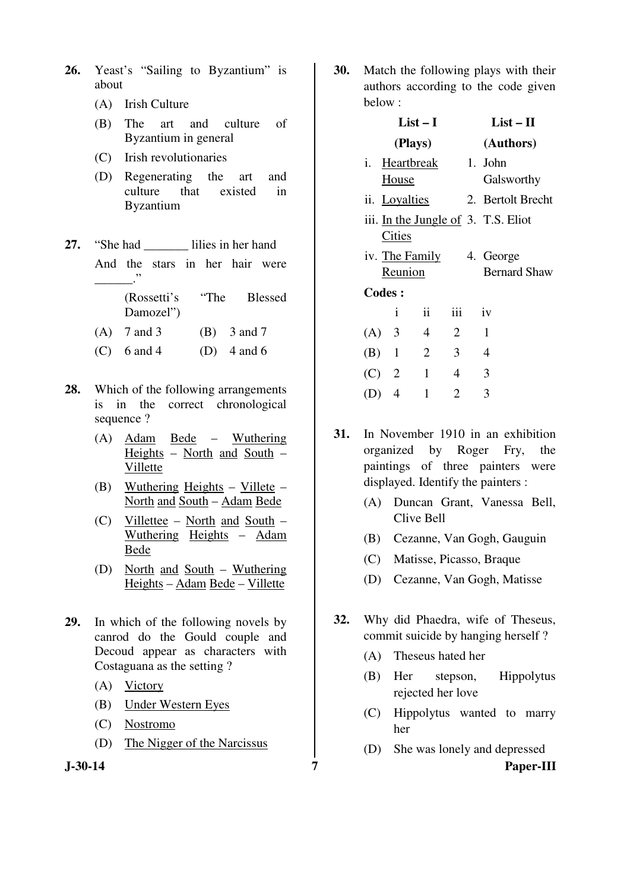- **26.** Yeast's "Sailing to Byzantium" is about
	- (A) Irish Culture
	- (B) The art and culture of Byzantium in general
	- (C) Irish revolutionaries
	- (D) Regenerating the art and culture that existed in Byzantium
- 27. "She had lilies in her hand

 And the stars in her hair were \_\_\_\_\_\_."

> (Rossetti's "The Blessed Damozel")

- (A)  $7 \text{ and } 3$  (B)  $3 \text{ and } 7$
- (C) 6 and 4 (D) 4 and 6
- **28.** Which of the following arrangements is in the correct chronological sequence ?
	- (A) Adam Bede Wuthering Heights – North and South – Villette
	- (B) Wuthering Heights  $-$  Villete  $-$ North and South – Adam Bede
	- (C) Villettee North and South Wuthering Heights – Adam Bede
	- (D) North and South Wuthering Heights – Adam Bede – Villette
- **29.** In which of the following novels by canrod do the Gould couple and Decoud appear as characters with Costaguana as the setting ?
	- (A) Victory
	- (B) Under Western Eyes
	- (C) Nostromo
	- (D) The Nigger of the Narcissus
- 

**30.** Match the following plays with their authors according to the code given below :

|               | $List-I$                  | $List-II$      |                |  |                                     |
|---------------|---------------------------|----------------|----------------|--|-------------------------------------|
|               | (Plays)                   |                |                |  | (Authors)                           |
| i.            | Heartbreak<br>House       |                |                |  | 1. John<br>Galsworthy               |
|               | ii. Loyalties             |                |                |  | 2. Bertolt Brecht                   |
|               | Cities                    |                |                |  | iii. In the Jungle of 3. T.S. Eliot |
|               | iv. The Family<br>Reunion |                |                |  | 4. George<br><b>Bernard Shaw</b>    |
| <b>Codes:</b> |                           |                |                |  |                                     |
|               | i                         | ii             | iii            |  | iv                                  |
| (A) 3         |                           | $\overline{4}$ | $\overline{2}$ |  | $\mathbf{1}$                        |
| $(B)$ 1       |                           | $\overline{2}$ | 3              |  | 4                                   |
| $(C)$ 2       |                           | 1              | 4              |  | 3                                   |
| (D)           | $\overline{4}$            | 1              | 2              |  | 3                                   |

- **31.** In November 1910 in an exhibition organized by Roger Fry, the paintings of three painters were displayed. Identify the painters :
	- (A) Duncan Grant, Vanessa Bell, Clive Bell
	- (B) Cezanne, Van Gogh, Gauguin
	- (C) Matisse, Picasso, Braque
	- (D) Cezanne, Van Gogh, Matisse
- **32.** Why did Phaedra, wife of Theseus, commit suicide by hanging herself ?
	- (A) Theseus hated her
	- (B) Her stepson, Hippolytus rejected her love
	- (C) Hippolytus wanted to marry her
	- (D) She was lonely and depressed

**J-30-14 7 Paper-III**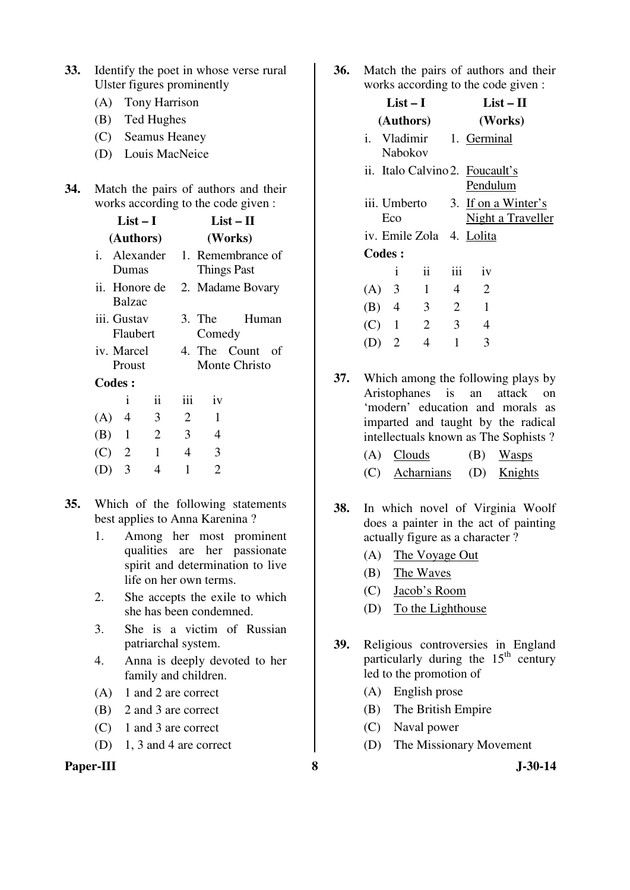| 33. Identify the poet in whose verse rural |
|--------------------------------------------|
| Ulster figures prominently                 |

- (A) Tony Harrison
- (B) Ted Hughes
- (C) Seamus Heaney
- (D) Louis MacNeice

| 34. | Match the pairs of authors and their |
|-----|--------------------------------------|
|     | works according to the code given :  |

|         | List – I                       |                     | List – II                               |                    |                               |      |
|---------|--------------------------------|---------------------|-----------------------------------------|--------------------|-------------------------------|------|
|         | (Authors)                      |                     |                                         |                    | (Works)                       |      |
|         | i. Alexander<br>Dumas          |                     | 1. Remembrance of<br><b>Things Past</b> |                    |                               |      |
|         | ii. Honore de<br><b>Balzac</b> |                     |                                         |                    | 2. Madame Bovary              |      |
|         | iii. Gustav<br>Flaubert        |                     |                                         | $3.$ The<br>Comedy | Human                         |      |
|         | iv. Marcel<br>Proust           |                     |                                         |                    | 4. The Count<br>Monte Christo | - of |
|         | Codes:                         |                     |                                         |                    |                               |      |
|         | i                              | $\ddot{\mathbf{i}}$ | iii                                     | iv                 |                               |      |
| (A)     | 4                              | 3                   | 2                                       | 1                  |                               |      |
| (B)     | 1                              | $\overline{2}$      | 3                                       | 4                  |                               |      |
| $(C)$ 2 |                                | 1                   | 4                                       | 3                  |                               |      |
| (D)     | 3                              | 4                   | 1                                       | $\overline{2}$     |                               |      |
|         |                                |                     |                                         |                    |                               |      |

- **35.** Which of the following statements best applies to Anna Karenina ?
	- 1. Among her most prominent qualities are her passionate spirit and determination to live life on her own terms.
	- 2. She accepts the exile to which she has been condemned.
	- 3. She is a victim of Russian patriarchal system.
	- 4. Anna is deeply devoted to her family and children.
	- (A) 1 and 2 are correct
	- (B) 2 and 3 are correct
	- (C) 1 and 3 are correct
	- (D) 1, 3 and 4 are correct

#### **Paper-III** 30-14

**36.** Match the pairs of authors and their works according to the code given :

| $List-I$      |                |         |                |                | $List-II$                                   |
|---------------|----------------|---------|----------------|----------------|---------------------------------------------|
|               |                |         | (Authors)      |                | (Works)                                     |
|               |                | Nabokov |                |                | i. Vladimir 1. Germinal                     |
|               |                |         |                |                | ii. Italo Calvino 2. Foucault's<br>Pendulum |
|               | Eco            |         | iii. Umberto   |                | 3. If on a Winter's<br>Night a Traveller    |
|               |                |         |                |                | iv. Emile Zola 4. Lolita                    |
| <b>Codes:</b> |                |         |                |                |                                             |
|               |                | i       | ii             | iii            | iv                                          |
| $(A)$ 3       |                |         | $\mathbf{1}$   | $\overline{4}$ | 2                                           |
| $(B)$ 4       |                |         | $\overline{3}$ | $\overline{2}$ | 1                                           |
| $(C)$ 1       |                |         | 2              | $\overline{3}$ | 4                                           |
| (D)           | $\overline{2}$ |         | 4              | 1              | 3                                           |
|               |                |         |                |                |                                             |

**37.** Which among the following plays by Aristophanes is an attack on 'modern' education and morals as imparted and taught by the radical intellectuals known as The Sophists ?

| $(A)$ Clouds               | $(B)$ Wasps |
|----------------------------|-------------|
| (C) Acharnians (D) Knights |             |

- **38.** In which novel of Virginia Woolf does a painter in the act of painting actually figure as a character ?
	- (A) The Voyage Out
	- (B) The Waves
	- (C) Jacob's Room
	- (D) To the Lighthouse
- **39.** Religious controversies in England particularly during the 15<sup>th</sup> century led to the promotion of
	- (A) English prose
	- (B) The British Empire
	- (C) Naval power
	- (D) The Missionary Movement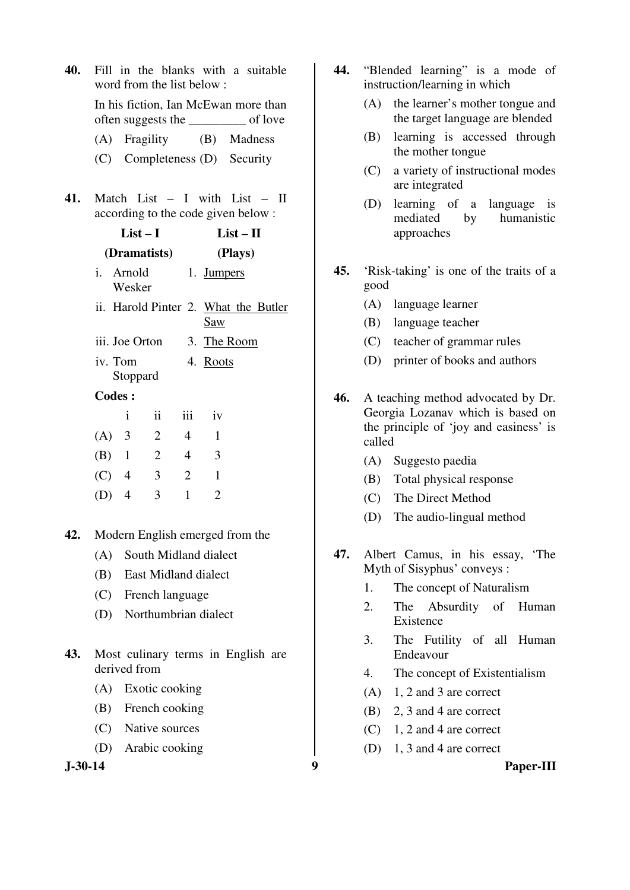| 40. |                                                    |                                                                              | word from the list below: |                |                | Fill in the blanks with a suitable                                  |
|-----|----------------------------------------------------|------------------------------------------------------------------------------|---------------------------|----------------|----------------|---------------------------------------------------------------------|
|     |                                                    | In his fiction, Ian McEwan more than<br>often suggests the _________ of love |                           |                |                |                                                                     |
|     | (A)                                                |                                                                              | Fragility                 |                |                | (B) Madness                                                         |
|     |                                                    |                                                                              |                           |                |                | (C) Completeness (D) Security                                       |
| 41. |                                                    |                                                                              |                           |                |                | Match List - I with List - II<br>according to the code given below: |
|     |                                                    | $List-I$<br>$List - II$                                                      |                           |                |                |                                                                     |
|     |                                                    | (Dramatists)<br>(Plays)                                                      |                           |                |                |                                                                     |
|     |                                                    | i. Arnold<br>1. Jumpers<br>Wesker                                            |                           |                |                |                                                                     |
|     | ii. Harold Pinter 2. What the Butler<br><b>Saw</b> |                                                                              |                           |                |                |                                                                     |
|     |                                                    | iii. Joe Orton                                                               |                           |                |                | 3. The Room                                                         |
|     |                                                    | iv. Tom<br>4. Roots<br>Stoppard                                              |                           |                |                |                                                                     |
|     | <b>Codes:</b>                                      |                                                                              |                           |                |                |                                                                     |
|     |                                                    | i                                                                            | $\overline{\mathbf{ii}}$  | iii            | iv             |                                                                     |
|     | $(A)$ 3                                            |                                                                              | $\overline{2}$            | $\overline{4}$ | 1              |                                                                     |
|     | $(B)$ 1                                            |                                                                              | $\overline{2}$            | $\overline{4}$ | 3              |                                                                     |
|     | $(C)$ 4                                            |                                                                              | 3                         | $\overline{2}$ | 1              |                                                                     |
|     | $(D)$ 4                                            |                                                                              | 3                         | $\mathbf{1}$   | $\overline{2}$ |                                                                     |
|     |                                                    |                                                                              |                           |                |                |                                                                     |
| 42. |                                                    |                                                                              |                           |                |                | Modern English emerged from the                                     |
|     |                                                    | (A) South Midland dialect                                                    |                           |                |                |                                                                     |
|     |                                                    | (B) East Midland dialect                                                     |                           |                |                |                                                                     |
|     |                                                    |                                                                              |                           |                |                |                                                                     |

- (C) French language
- (D) Northumbrian dialect
- **43.** Most culinary terms in English are derived from
	- (A) Exotic cooking
	- (B) French cooking
	- (C) Native sources
	- (D) Arabic cooking

- **44.** "Blended learning" is a mode of instruction/learning in which
	- (A) the learner's mother tongue and the target language are blended
	- (B) learning is accessed through the mother tongue
	- (C) a variety of instructional modes are integrated
	- (D) learning of a language is mediated by humanistic approaches
- **45.** 'Risk-taking' is one of the traits of a good
	- (A) language learner
	- (B) language teacher
	- (C) teacher of grammar rules
	- (D) printer of books and authors
- **46.** A teaching method advocated by Dr. Georgia Lozanav which is based on the principle of 'joy and easiness' is called
	- (A) Suggesto paedia
	- (B) Total physical response
	- (C) The Direct Method
	- (D) The audio-lingual method
- **47.** Albert Camus, in his essay, 'The Myth of Sisyphus' conveys :
	- 1. The concept of Naturalism
	- 2. The Absurdity of Human Existence
	- 3. The Futility of all Human Endeavour
	- 4. The concept of Existentialism
	- $(A)$  1, 2 and 3 are correct
	- (B) 2, 3 and 4 are correct
	- $(C)$  1, 2 and 4 are correct
	- (D) 1, 3 and 4 are correct

### **J-30-14 9 Paper-III**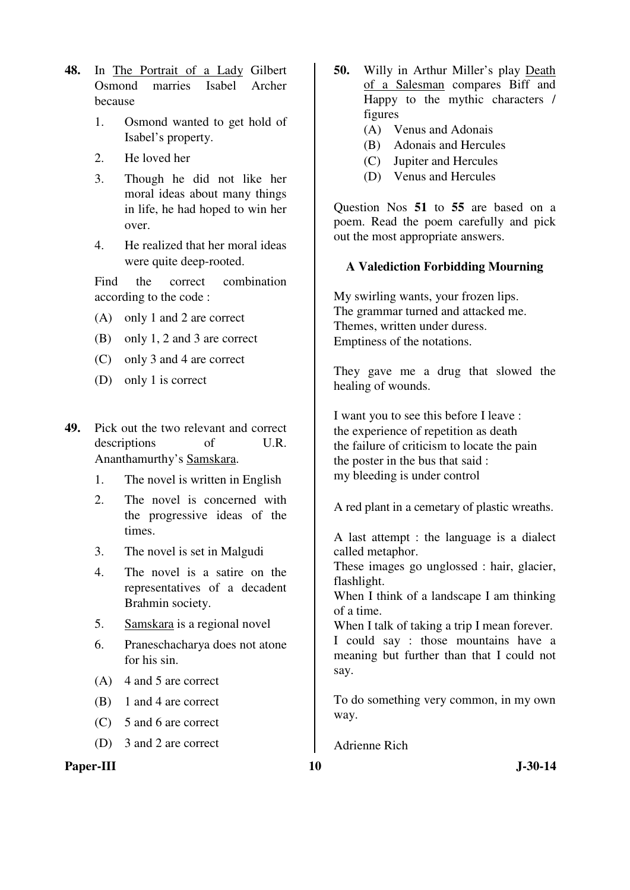- **48.** In The Portrait of a Lady Gilbert Osmond marries Isabel Archer because
	- 1. Osmond wanted to get hold of Isabel's property.
	- 2. He loved her
	- 3. Though he did not like her moral ideas about many things in life, he had hoped to win her over.
	- 4. He realized that her moral ideas were quite deep-rooted.

 Find the correct combination according to the code :

- (A) only 1 and 2 are correct
- (B) only 1, 2 and 3 are correct
- (C) only 3 and 4 are correct
- (D) only 1 is correct
- **49.** Pick out the two relevant and correct descriptions of U.R. Ananthamurthy's Samskara.
	- 1. The novel is written in English
	- 2. The novel is concerned with the progressive ideas of the times.
	- 3. The novel is set in Malgudi
	- 4. The novel is a satire on the representatives of a decadent Brahmin society.
	- 5. Samskara is a regional novel
	- 6. Praneschacharya does not atone for his sin.
	- (A) 4 and 5 are correct
	- (B) 1 and 4 are correct
	- (C) 5 and 6 are correct
	- (D) 3 and 2 are correct

**Paper-III** J-30-14

- **50.** Willy in Arthur Miller's play Death of a Salesman compares Biff and Happy to the mythic characters / figures
	- (A) Venus and Adonais
	- (B) Adonais and Hercules
	- (C) Jupiter and Hercules
	- (D) Venus and Hercules

Question Nos **51** to **55** are based on a poem. Read the poem carefully and pick out the most appropriate answers.

## **A Valediction Forbidding Mourning**

My swirling wants, your frozen lips. The grammar turned and attacked me. Themes, written under duress. Emptiness of the notations.

They gave me a drug that slowed the healing of wounds.

I want you to see this before I leave : the experience of repetition as death the failure of criticism to locate the pain the poster in the bus that said : my bleeding is under control

A red plant in a cemetary of plastic wreaths.

A last attempt : the language is a dialect called metaphor.

These images go unglossed : hair, glacier, flashlight.

When I think of a landscape I am thinking of a time.

When I talk of taking a trip I mean forever. I could say : those mountains have a meaning but further than that I could not

To do something very common, in my own way.

Adrienne Rich

say.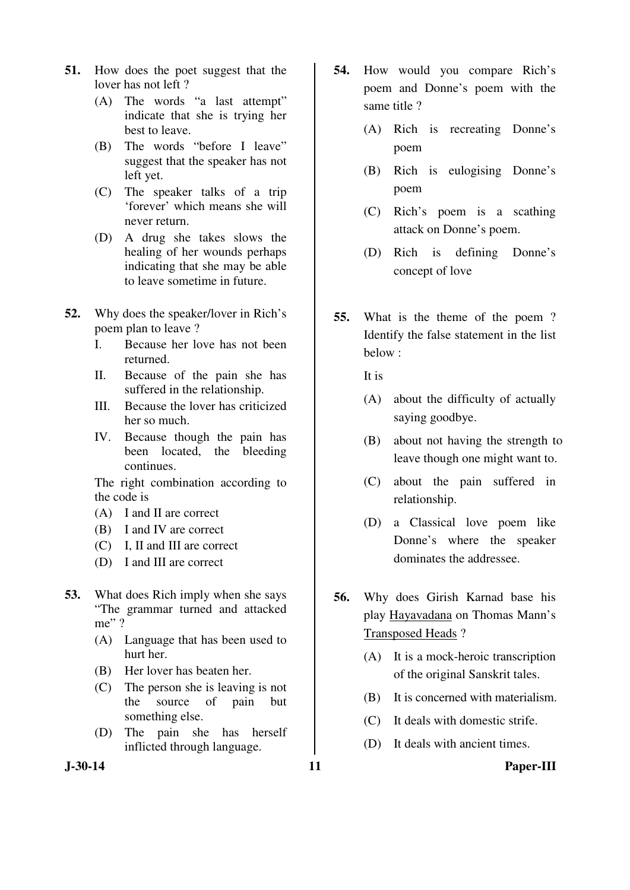- **51.** How does the poet suggest that the lover has not left ?
	- (A) The words "a last attempt" indicate that she is trying her best to leave.
	- (B) The words "before I leave" suggest that the speaker has not left yet.
	- (C) The speaker talks of a trip 'forever' which means she will never return.
	- (D) A drug she takes slows the healing of her wounds perhaps indicating that she may be able to leave sometime in future.
- **52.** Why does the speaker/lover in Rich's poem plan to leave ?
	- I. Because her love has not been returned.
	- II. Because of the pain she has suffered in the relationship.
	- III. Because the lover has criticized her so much.
	- IV. Because though the pain has been located, the bleeding continues.

 The right combination according to the code is

- (A) I and II are correct
- (B) I and IV are correct
- (C) I, II and III are correct
- (D) I and III are correct
- **53.** What does Rich imply when she says "The grammar turned and attacked me"?
	- (A) Language that has been used to hurt her.
	- (B) Her lover has beaten her.
	- (C) The person she is leaving is not the source of pain but something else.
	- (D) The pain she has herself inflicted through language.
- **J-30-14 11 Paper-III**
- **54.** How would you compare Rich's poem and Donne's poem with the same title ?
	- (A) Rich is recreating Donne's poem
	- (B) Rich is eulogising Donne's poem
	- (C) Rich's poem is a scathing attack on Donne's poem.
	- (D) Rich is defining Donne's concept of love
- **55.** What is the theme of the poem ? Identify the false statement in the list below :

It is

- (A) about the difficulty of actually saying goodbye.
- (B) about not having the strength to leave though one might want to.
- (C) about the pain suffered in relationship.
- (D) a Classical love poem like Donne's where the speaker dominates the addressee.
- **56.** Why does Girish Karnad base his play Hayavadana on Thomas Mann's Transposed Heads ?
	- (A) It is a mock-heroic transcription of the original Sanskrit tales.
	- (B) It is concerned with materialism.
	- (C) It deals with domestic strife.
	- (D) It deals with ancient times.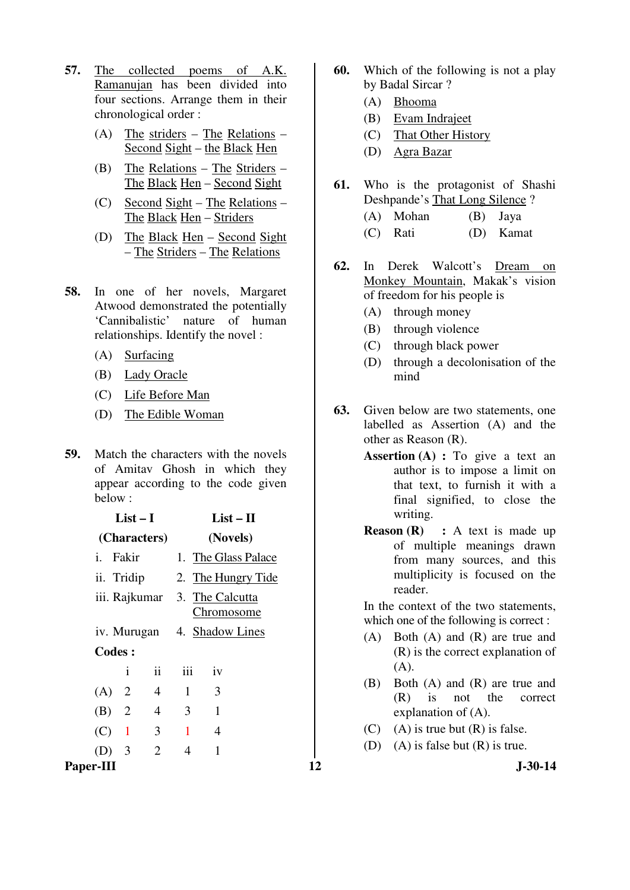- **57.** The collected poems of A.K. Ramanujan has been divided into four sections. Arrange them in their chronological order :
	- (A) The striders The Relations Second Sight – the Black Hen
	- (B) The Relations The Striders The Black Hen – Second Sight
	- (C) Second Sight The Relations The Black Hen – Striders
	- (D) The Black Hen Second Sight – The Striders – The Relations
- **58.** In one of her novels, Margaret Atwood demonstrated the potentially 'Cannibalistic' nature of human relationships. Identify the novel :
	- (A) Surfacing
	- (B) Lady Oracle
	- (C) Life Before Man
	- (D) The Edible Woman
- **59.** Match the characters with the novels of Amitav Ghosh in which they appear according to the code given below :

| $List-I$                                                | $List - II$                                                                       | writing.                                                                                                                                                       |
|---------------------------------------------------------|-----------------------------------------------------------------------------------|----------------------------------------------------------------------------------------------------------------------------------------------------------------|
| (Characters)                                            | (Novels)                                                                          | <b>Reason (R)</b> : A text is made up<br>of multiple meanings drawn                                                                                            |
| i. Fakir<br>ii. Tridip<br>iii. Rajkumar                 | 1. The Glass Palace<br>2. The Hungry Tide<br>3. The Calcutta<br><b>Chromosome</b> | from many sources, and this<br>multiplicity is focused on the<br>reader.<br>In the context of the two statements,<br>which one of the following is correct :   |
| iv. Murugan<br><b>Codes:</b><br>$\mathbf{ii}$<br>1      | 4. Shadow Lines<br>iii<br>iv                                                      | Both $(A)$ and $(R)$ are true and<br>(A)<br>$(R)$ is the correct explanation of<br>(A).                                                                        |
| $\overline{4}$<br>$(A)$ 2<br>$\overline{4}$<br>(B)<br>2 | 3<br>$\mathbf{1}$<br>3<br>1                                                       | Both $(A)$ and $(R)$ are true and<br>(B)<br>(R)<br>not the<br>$\overline{1}S$<br>correct<br>explanation of $(A)$ .<br>$(A)$ is true but $(R)$ is false.<br>(C) |
| 3<br>(C)<br>$\blacksquare$<br>$(D)$ 3<br>2<br>Paper-III | $\mathbf{1}$<br>$\overline{4}$<br>$\overline{4}$                                  | $(A)$ is false but $(R)$ is true.<br>(D)<br><b>J-30-14</b><br>12                                                                                               |
|                                                         |                                                                                   |                                                                                                                                                                |

- **60.** Which of the following is not a play by Badal Sircar ?
	- (A) Bhooma
	- (B) Evam Indrajeet
	- (C) That Other History
	- (D) Agra Bazar
- **61.** Who is the protagonist of Shashi Deshpande's That Long Silence ? (A) Mohan (B) Jaya (C) Rati (D) Kamat
- **62.** In Derek Walcott's Dream on Monkey Mountain, Makak's vision of freedom for his people is
	- (A) through money
	- (B) through violence
	- (C) through black power
	- (D) through a decolonisation of the mind
- **63.** Given below are two statements, one labelled as Assertion (A) and the other as Reason (R).
	- **Assertion (A) :** To give a text an author is to impose a limit on that text, to furnish it with a final signified, to close the writing.
	- **Reason (R) :** A text is made up of multiple meanings drawn from many sources, and this multiplicity is focused on the reader.

- (A) Both (A) and (R) are true and (R) is the correct explanation of (A).
- (B) Both (A) and (R) are true and (R) is not the correct explanation of (A).
- (C) (A) is true but  $(R)$  is false.
- (D) (A) is false but  $(R)$  is true.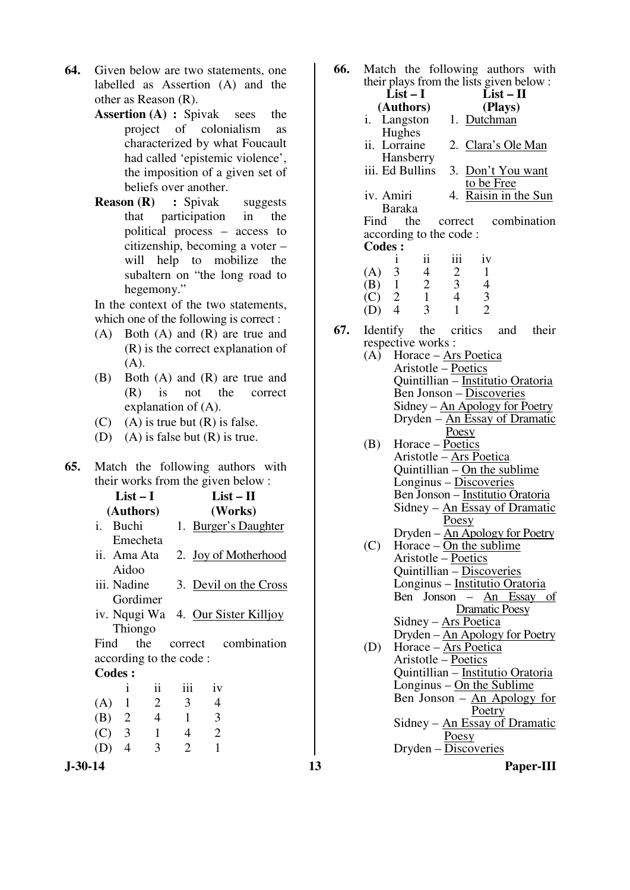- **64.** Given below are two statements, one labelled as Assertion (A) and the other as Reason (R).
	- **Assertion (A) : Spivak sees the** project of colonialism as characterized by what Foucault had called 'epistemic violence', the imposition of a given set of beliefs over another.
	- **Reason (R)** : Spivak suggests that participation in the political process – access to citizenship, becoming a voter – will help to mobilize the subaltern on "the long road to hegemony."

In the context of the two statements, which one of the following is correct :

- (A) Both (A) and (R) are true and (R) is the correct explanation of (A).
- (B) Both (A) and (R) are true and (R) is not the correct explanation of (A).
- (C) (A) is true but  $(R)$  is false.
- (D) (A) is false but (R) is true.
- **65.** Match the following authors with their works from the given below :

|                        | List – I                    |                |                | $List-II$                          |  |  |
|------------------------|-----------------------------|----------------|----------------|------------------------------------|--|--|
|                        | (Authors)                   |                |                | (Works)                            |  |  |
| $i_{\cdot}$<br>Buchi   |                             |                |                | 1. Burger's Daughter               |  |  |
|                        | Emecheta                    |                |                |                                    |  |  |
| ii. Ama Ata            |                             |                |                | 2. Joy of Motherhood               |  |  |
| Aidoo                  |                             |                |                |                                    |  |  |
|                        | iii. Nadine                 |                |                | 3. Devil on the Cross              |  |  |
|                        | Gordimer                    |                |                |                                    |  |  |
|                        |                             |                |                | iv. Nqugi Wa 4. Our Sister Killjoy |  |  |
| Thiongo                |                             |                |                |                                    |  |  |
| Find                   | the                         |                |                | correct combination                |  |  |
| according to the code: |                             |                |                |                                    |  |  |
| <b>Codes:</b>          |                             |                |                |                                    |  |  |
| 1                      | $\ddot{\rm{1}}\dot{\rm{1}}$ | iii            | iv             |                                    |  |  |
| $\mathbf{1}$<br>(A)    | $\overline{2}$              | 3              | $\overline{4}$ |                                    |  |  |
| $\overline{2}$<br>(B)  | $\overline{4}$              | 1              | 3              |                                    |  |  |
| ⌒<br>$\sim$            | -1.                         | $\overline{A}$ | ⌒              |                                    |  |  |

 (C) 3 1 4 2 (D) 4 3 2 1

**66.** Match the following authors with their plays from the lists given below :

|                                                                    | their plays from the lists given below: |
|--------------------------------------------------------------------|-----------------------------------------|
| $List-I$                                                           | $List - II$                             |
| (Authors)                                                          | (Plays)                                 |
|                                                                    | i. Langston 1. Dutchman                 |
| Hughes                                                             |                                         |
| ii. Lorraine                                                       | 2. Clara's Ole Man                      |
| Hansberry                                                          |                                         |
| iii. Ed Bullins                                                    | 3. Don't You want                       |
|                                                                    | to be Free                              |
| iv. Amiri                                                          | 4. Raisin in the Sun                    |
| <b>Baraka</b>                                                      |                                         |
| Find the                                                           | correct combination                     |
| according to the code :                                            |                                         |
| <b>Codes:</b>                                                      |                                         |
| $\mathbf{ii}$<br>Ť                                                 | iii<br>iv                               |
| (A) 3<br>4                                                         | 2<br>1                                  |
| $(B)$ 1 2                                                          | $\mathfrak{Z}$<br>4                     |
| $\overline{1}$<br>$\begin{matrix} (C) & 2 \\ (D) & 4 \end{matrix}$ | $\overline{4}$<br>3                     |
| $\overline{\mathcal{E}}$                                           | $\overline{\mathcal{L}}$                |

**67.** Identify the critics and their respective works :

 $(D)$  4

- (A) Horace  $\angle$  Ars Poetica Aristotle – Poetics Quintillian – Institutio Oratoria Ben Jonson – Discoveries Sidney – An Apology for Poetry Dryden – An Essay of Dramatic Poesy (B) Horace – Poetics Aristotle – Ars Poetica Quintillian – On the sublime Longinus – Discoveries Ben Jonson – Institutio Oratoria Sidney – An Essay of Dramatic Poesy Dryden – An Apology for Poetry (C) Horace –  $On the sublime$  Aristotle – Poetics Quintillian – Discoveries Longinus – Institutio Oratoria
	- Ben Jonson An Essay of Dramatic Poesy Sidney – Ars Poetica
- Dryden An Apology for Poetry (D) Horace – Ars Poetica Aristotle – Poetics Quintillian – Institutio Oratoria Longinus – On the Sublime Ben Jonson –  $An$  Apology for Poetry Sidney – An Essay of Dramatic

Poesy

 $Dryden - Discoveries$ 

**J-30-14 13 Paper-III**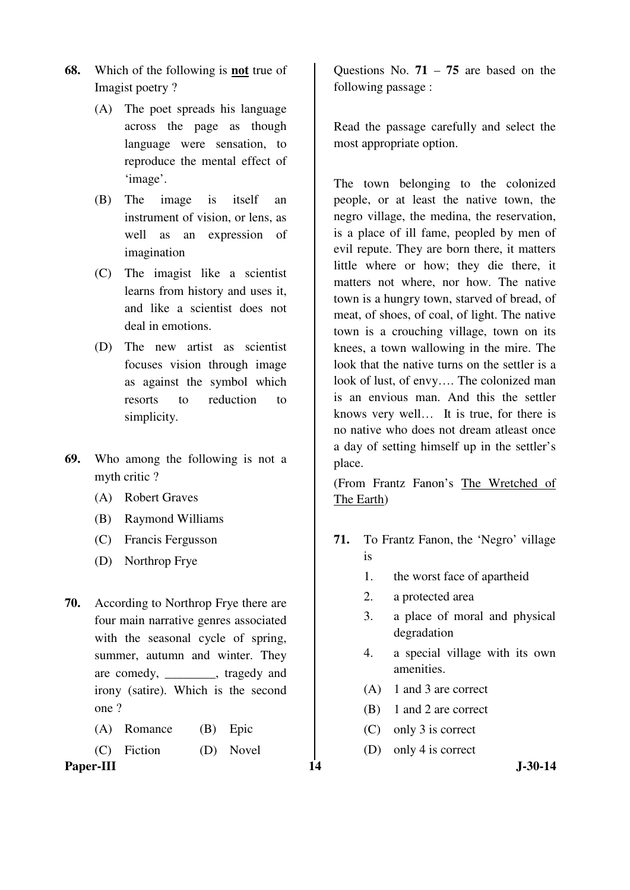- **68.** Which of the following is **not** true of Imagist poetry ?
	- (A) The poet spreads his language across the page as though language were sensation, to reproduce the mental effect of 'image'.
	- (B) The image is itself an instrument of vision, or lens, as well as an expression of imagination
	- (C) The imagist like a scientist learns from history and uses it, and like a scientist does not deal in emotions.
	- (D) The new artist as scientist focuses vision through image as against the symbol which resorts to reduction to simplicity.
- **69.** Who among the following is not a myth critic ?
	- (A) Robert Graves
	- (B) Raymond Williams
	- (C) Francis Fergusson
	- (D) Northrop Frye
- **70.** According to Northrop Frye there are four main narrative genres associated with the seasonal cycle of spring, summer, autumn and winter. They are comedy, tragedy and irony (satire). Which is the second one ?
	- (A) Romance (B) Epic

(C) Fiction (D) Novel

Paper-III **14** J-30-14

Questions No. **71** – **75** are based on the following passage :

Read the passage carefully and select the most appropriate option.

The town belonging to the colonized people, or at least the native town, the negro village, the medina, the reservation, is a place of ill fame, peopled by men of evil repute. They are born there, it matters little where or how; they die there, it matters not where, nor how. The native town is a hungry town, starved of bread, of meat, of shoes, of coal, of light. The native town is a crouching village, town on its knees, a town wallowing in the mire. The look that the native turns on the settler is a look of lust, of envy…. The colonized man is an envious man. And this the settler knows very well… It is true, for there is no native who does not dream atleast once a day of setting himself up in the settler's place.

(From Frantz Fanon's The Wretched of The Earth)

- **71.** To Frantz Fanon, the 'Negro' village is
	- 1. the worst face of apartheid
	- 2. a protected area
	- 3. a place of moral and physical degradation
	- 4. a special village with its own amenities.
	- (A) 1 and 3 are correct
	- (B) 1 and 2 are correct
	- (C) only 3 is correct
	- (D) only 4 is correct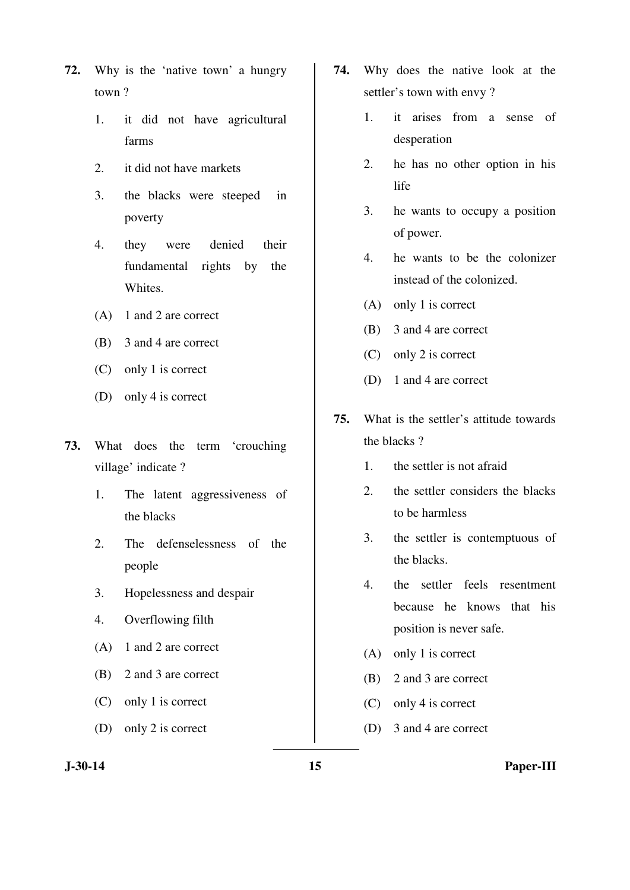- **72.** Why is the 'native town' a hungry town ?
	- 1. it did not have agricultural farms
	- 2. it did not have markets
	- 3. the blacks were steeped in poverty
	- 4. they were denied their fundamental rights by the Whites.
	- (A) 1 and 2 are correct
	- (B) 3 and 4 are correct
	- (C) only 1 is correct
	- (D) only 4 is correct
- **73.** What does the term 'crouching village' indicate ?
	- 1. The latent aggressiveness of the blacks
	- 2. The defenselessness of the people
	- 3. Hopelessness and despair
	- 4. Overflowing filth
	- (A) 1 and 2 are correct
	- (B) 2 and 3 are correct
	- (C) only 1 is correct
	- (D) only 2 is correct
- **74.** Why does the native look at the settler's town with envy ?
	- 1. it arises from a sense of desperation
	- 2. he has no other option in his life
	- 3. he wants to occupy a position of power.
	- 4. he wants to be the colonizer instead of the colonized.
	- (A) only 1 is correct
	- (B) 3 and 4 are correct
	- (C) only 2 is correct
	- (D) 1 and 4 are correct
- **75.** What is the settler's attitude towards the blacks ?
	- 1. the settler is not afraid
	- 2. the settler considers the blacks to be harmless
	- 3. the settler is contemptuous of the blacks.
	- 4. the settler feels resentment because he knows that his position is never safe.
	- (A) only 1 is correct
	- (B) 2 and 3 are correct
	- (C) only 4 is correct
	- (D) 3 and 4 are correct

**J-30-14 15 Paper-III**